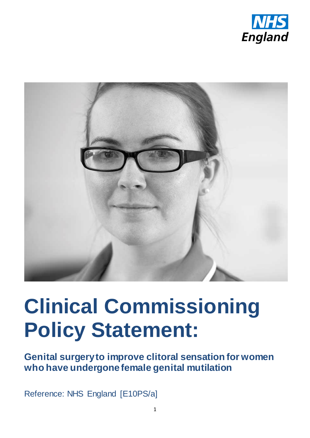



# **Clinical Commissioning Policy Statement:**

**Genital surgery to improve clitoral sensation for women who have undergone female genital mutilation** 

Reference: NHS England [E10PS/a]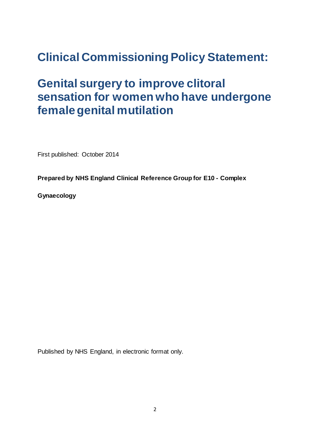## **Clinical Commissioning Policy Statement:**

### **Genital surgery to improve clitoral sensation for women who have undergone female genital mutilation**

First published: October 2014

**Prepared by NHS England Clinical Reference Group for E10 - Complex** 

**Gynaecology**

Published by NHS England, in electronic format only.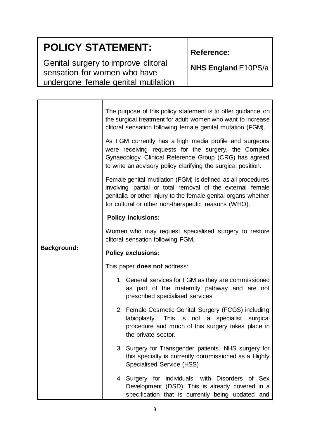### **POLICY STATEMENT:**

Genital surgery to improve clitoral sensation for women who have undergone female genital mutilation **Reference:**

**NHS England** E10PS/a

| <b>Background:</b> | The purpose of this policy statement is to offer guidance on<br>the surgical treatment for adult women who want to increase<br>clitoral sensation following female genital mutation (FGM).<br>As FGM currently has a high media profile and surgeons<br>were receiving requests for the surgery, the Complex<br>Gynaecology Clinical Reference Group (CRG) has agreed<br>to write an advisory policy clarifying the surgical position.<br>Female genital mutilation (FGM) is defined as all procedures<br>involving partial or total removal of the external female<br>genitalia or other injury to the female genital organs whether<br>for cultural or other non-therapeutic reasons (WHO). |  |  |  |
|--------------------|-----------------------------------------------------------------------------------------------------------------------------------------------------------------------------------------------------------------------------------------------------------------------------------------------------------------------------------------------------------------------------------------------------------------------------------------------------------------------------------------------------------------------------------------------------------------------------------------------------------------------------------------------------------------------------------------------|--|--|--|
|                    | <b>Policy inclusions:</b>                                                                                                                                                                                                                                                                                                                                                                                                                                                                                                                                                                                                                                                                     |  |  |  |
|                    | Women who may request specialised surgery to restore<br>clitoral sensation following FGM.                                                                                                                                                                                                                                                                                                                                                                                                                                                                                                                                                                                                     |  |  |  |
|                    | <b>Policy exclusions:</b>                                                                                                                                                                                                                                                                                                                                                                                                                                                                                                                                                                                                                                                                     |  |  |  |
|                    | This paper <b>does not</b> address:                                                                                                                                                                                                                                                                                                                                                                                                                                                                                                                                                                                                                                                           |  |  |  |
|                    | 1. General services for FGM as they are commissioned<br>as part of the maternity pathway and are not<br>prescribed specialised services                                                                                                                                                                                                                                                                                                                                                                                                                                                                                                                                                       |  |  |  |
|                    | 2. Female Cosmetic Genital Surgery (FCGS) including<br>labioplasty. This is not a specialist surgical<br>procedure and much of this surgery takes place in<br>the private sector.                                                                                                                                                                                                                                                                                                                                                                                                                                                                                                             |  |  |  |
|                    | 3. Surgery for Transgender patients. NHS surgery for<br>this specialty is currently commissioned as a Highly<br><b>Specialised Service (HSS)</b>                                                                                                                                                                                                                                                                                                                                                                                                                                                                                                                                              |  |  |  |
|                    | 4. Surgery for individuals with Disorders of Sex<br>Development (DSD). This is already covered in a<br>specification that is currently being updated and                                                                                                                                                                                                                                                                                                                                                                                                                                                                                                                                      |  |  |  |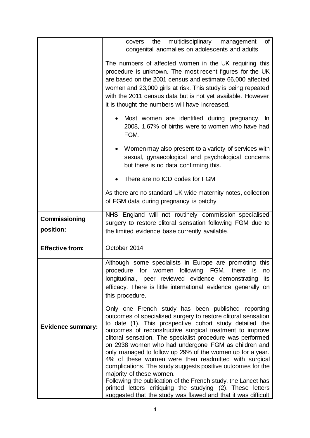|                            | covers the multidisciplinary management<br>of<br>congenital anomalies on adolescents and adults<br>The numbers of affected women in the UK requiring this<br>procedure is unknown. The most recent figures for the UK<br>are based on the 2001 census and estimate 66,000 affected<br>women and 23,000 girls at risk. This study is being repeated<br>with the 2011 census data but is not yet available. However<br>it is thought the numbers will have increased.                                                                                 |  |  |  |  |  |
|----------------------------|-----------------------------------------------------------------------------------------------------------------------------------------------------------------------------------------------------------------------------------------------------------------------------------------------------------------------------------------------------------------------------------------------------------------------------------------------------------------------------------------------------------------------------------------------------|--|--|--|--|--|
|                            |                                                                                                                                                                                                                                                                                                                                                                                                                                                                                                                                                     |  |  |  |  |  |
|                            | Most women are identified during pregnancy. In<br>2008, 1.67% of births were to women who have had<br>FGM.                                                                                                                                                                                                                                                                                                                                                                                                                                          |  |  |  |  |  |
|                            | Women may also present to a variety of services with<br>sexual, gynaecological and psychological concerns<br>but there is no data confirming this.                                                                                                                                                                                                                                                                                                                                                                                                  |  |  |  |  |  |
|                            | There are no ICD codes for FGM                                                                                                                                                                                                                                                                                                                                                                                                                                                                                                                      |  |  |  |  |  |
|                            | As there are no standard UK wide maternity notes, collection<br>of FGM data during pregnancy is patchy                                                                                                                                                                                                                                                                                                                                                                                                                                              |  |  |  |  |  |
| Commissioning<br>position: | NHS England will not routinely commission specialised<br>surgery to restore clitoral sensation following FGM due to<br>the limited evidence base currently available.                                                                                                                                                                                                                                                                                                                                                                               |  |  |  |  |  |
| <b>Effective from:</b>     | October 2014                                                                                                                                                                                                                                                                                                                                                                                                                                                                                                                                        |  |  |  |  |  |
|                            | Although some specialists in Europe are promoting this<br>procedure for women following FGM, there is<br>no<br>longitudinal, peer reviewed evidence demonstrating<br>its<br>efficacy. There is little international evidence generally on<br>this procedure.                                                                                                                                                                                                                                                                                        |  |  |  |  |  |
| <b>Evidence summary:</b>   | Only one French study has been published reporting<br>outcomes of specialised surgery to restore clitoral sensation<br>to date (1). This prospective cohort study detailed the<br>outcomes of reconstructive surgical treatment to improve<br>clitoral sensation. The specialist procedure was performed<br>on 2938 women who had undergone FGM as children and<br>only managed to follow up 29% of the women up for a year.<br>4% of these women were then readmitted with surgical<br>complications. The study suggests positive outcomes for the |  |  |  |  |  |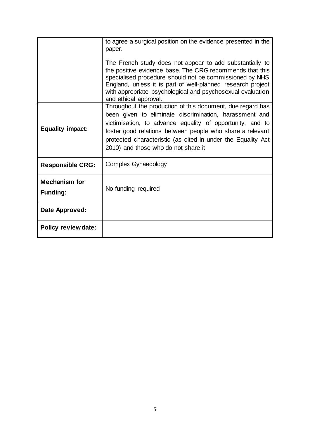|                                         | to agree a surgical position on the evidence presented in the<br>paper.<br>The French study does not appear to add substantially to<br>the positive evidence base. The CRG recommends that this<br>specialised procedure should not be commissioned by NHS<br>England, unless it is part of well-planned research project<br>with appropriate psychological and psychosexual evaluation<br>and ethical approval. |  |
|-----------------------------------------|------------------------------------------------------------------------------------------------------------------------------------------------------------------------------------------------------------------------------------------------------------------------------------------------------------------------------------------------------------------------------------------------------------------|--|
| <b>Equality impact:</b>                 | Throughout the production of this document, due regard has<br>been given to eliminate discrimination, harassment and<br>victimisation, to advance equality of opportunity, and to<br>foster good relations between people who share a relevant<br>protected characteristic (as cited in under the Equality Act<br>2010) and those who do not share it                                                            |  |
| <b>Responsible CRG:</b>                 | <b>Complex Gynaecology</b>                                                                                                                                                                                                                                                                                                                                                                                       |  |
| <b>Mechanism for</b><br><b>Funding:</b> | No funding required                                                                                                                                                                                                                                                                                                                                                                                              |  |
| Date Approved:                          |                                                                                                                                                                                                                                                                                                                                                                                                                  |  |
| <b>Policy review date:</b>              |                                                                                                                                                                                                                                                                                                                                                                                                                  |  |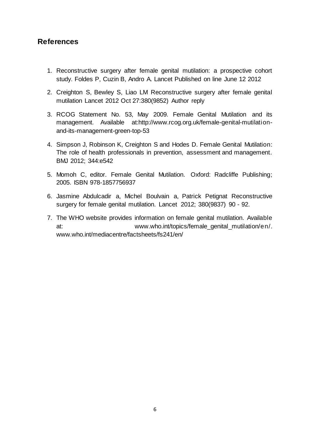#### **References**

- 1. Reconstructive surgery after female genital mutilation: a prospective cohort study. Foldes P, Cuzin B, Andro A. Lancet Published on line June 12 2012
- 2. Creighton S, Bewley S, Liao LM Reconstructive surgery after female genital mutilation Lancet 2012 Oct 27:380(9852) Author reply
- 3. RCOG Statement No. 53, May 2009. Female Genital Mutilation and its management. Available at:http://www.rcog.org.uk/female-genital-mutilationand-its-management-green-top-53
- 4. Simpson J, Robinson K, Creighton S and Hodes D. Female Genital Mutilation: The role of health professionals in prevention, assessment and management. BMJ 2012; 344:e542
- 5. Momoh C, editor. Female Genital Mutilation. Oxford: Radcliffe Publishing; 2005. ISBN 978-1857756937
- 6. Jasmine Abdulcadir a, Michel Boulvain a, Patrick Petignat Reconstructive surgery for female genital mutilation. Lancet 2012; 380(9837) 90 - 92.
- 7. The WHO website provides information on female genital mutilation. Available at:  $www.who.int/topics/female\ qenital\ mutilation/en/$ www.who.int/mediacentre/factsheets/fs241/en/